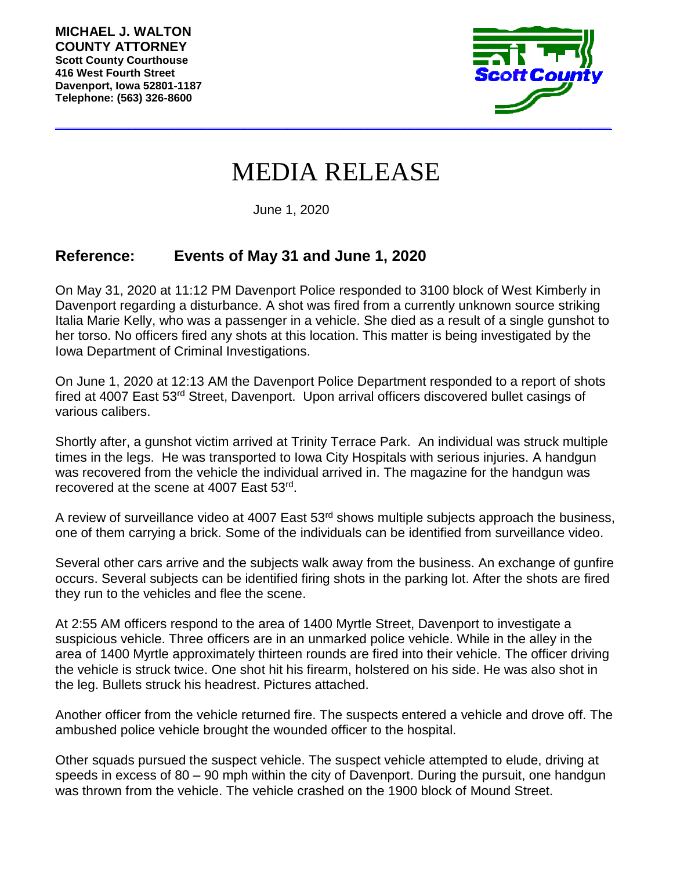

## MEDIA RELEASE

June 1, 2020

## **Reference: Events of May 31 and June 1, 2020**

On May 31, 2020 at 11:12 PM Davenport Police responded to 3100 block of West Kimberly in Davenport regarding a disturbance. A shot was fired from a currently unknown source striking Italia Marie Kelly, who was a passenger in a vehicle. She died as a result of a single gunshot to her torso. No officers fired any shots at this location. This matter is being investigated by the Iowa Department of Criminal Investigations.

On June 1, 2020 at 12:13 AM the Davenport Police Department responded to a report of shots fired at 4007 East 53rd Street, Davenport. Upon arrival officers discovered bullet casings of various calibers.

Shortly after, a gunshot victim arrived at Trinity Terrace Park. An individual was struck multiple times in the legs. He was transported to Iowa City Hospitals with serious injuries. A handgun was recovered from the vehicle the individual arrived in. The magazine for the handgun was recovered at the scene at 4007 East 53rd.

A review of surveillance video at 4007 East 53<sup>rd</sup> shows multiple subjects approach the business, one of them carrying a brick. Some of the individuals can be identified from surveillance video.

Several other cars arrive and the subjects walk away from the business. An exchange of gunfire occurs. Several subjects can be identified firing shots in the parking lot. After the shots are fired they run to the vehicles and flee the scene.

At 2:55 AM officers respond to the area of 1400 Myrtle Street, Davenport to investigate a suspicious vehicle. Three officers are in an unmarked police vehicle. While in the alley in the area of 1400 Myrtle approximately thirteen rounds are fired into their vehicle. The officer driving the vehicle is struck twice. One shot hit his firearm, holstered on his side. He was also shot in the leg. Bullets struck his headrest. Pictures attached.

Another officer from the vehicle returned fire. The suspects entered a vehicle and drove off. The ambushed police vehicle brought the wounded officer to the hospital.

Other squads pursued the suspect vehicle. The suspect vehicle attempted to elude, driving at speeds in excess of 80 – 90 mph within the city of Davenport. During the pursuit, one handgun was thrown from the vehicle. The vehicle crashed on the 1900 block of Mound Street.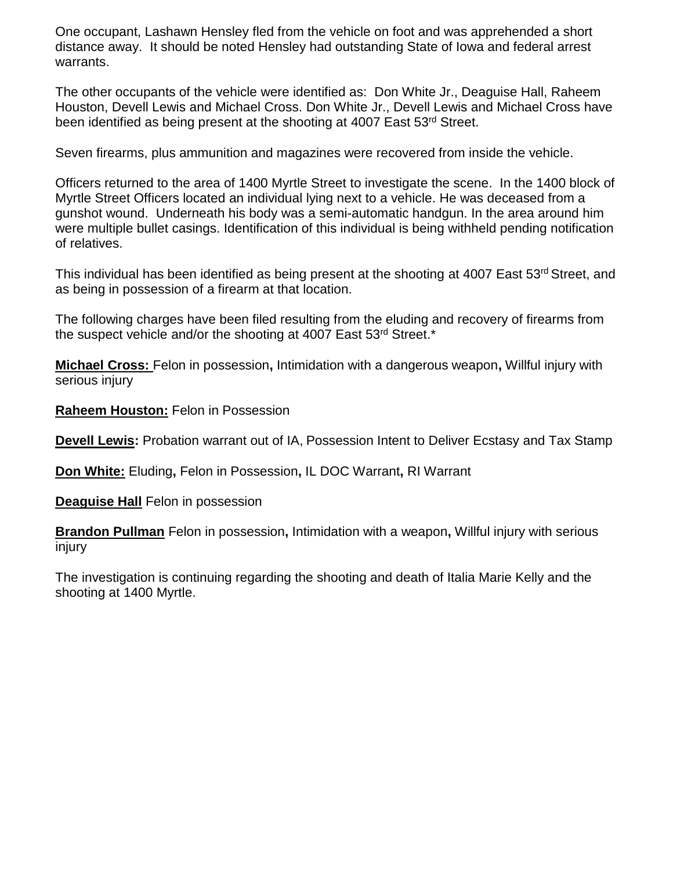One occupant, Lashawn Hensley fled from the vehicle on foot and was apprehended a short distance away. It should be noted Hensley had outstanding State of Iowa and federal arrest warrants.

The other occupants of the vehicle were identified as: Don White Jr., Deaguise Hall, Raheem Houston, Devell Lewis and Michael Cross. Don White Jr., Devell Lewis and Michael Cross have been identified as being present at the shooting at 4007 East  $53<sup>rd</sup>$  Street.

Seven firearms, plus ammunition and magazines were recovered from inside the vehicle.

Officers returned to the area of 1400 Myrtle Street to investigate the scene. In the 1400 block of Myrtle Street Officers located an individual lying next to a vehicle. He was deceased from a gunshot wound. Underneath his body was a semi-automatic handgun. In the area around him were multiple bullet casings. Identification of this individual is being withheld pending notification of relatives.

This individual has been identified as being present at the shooting at 4007 East 53<sup>rd</sup> Street, and as being in possession of a firearm at that location.

The following charges have been filed resulting from the eluding and recovery of firearms from the suspect vehicle and/or the shooting at 4007 East 53rd Street.\*

**Michael Cross:** Felon in possession**,** Intimidation with a dangerous weapon**,** Willful injury with serious injury

**Raheem Houston:** Felon in Possession

**Devell Lewis:** Probation warrant out of IA, Possession Intent to Deliver Ecstasy and Tax Stamp

**Don White:** Eluding**,** Felon in Possession**,** IL DOC Warrant**,** RI Warrant

**Deaguise Hall** Felon in possession

**Brandon Pullman** Felon in possession**,** Intimidation with a weapon**,** Willful injury with serious injury

The investigation is continuing regarding the shooting and death of Italia Marie Kelly and the shooting at 1400 Myrtle.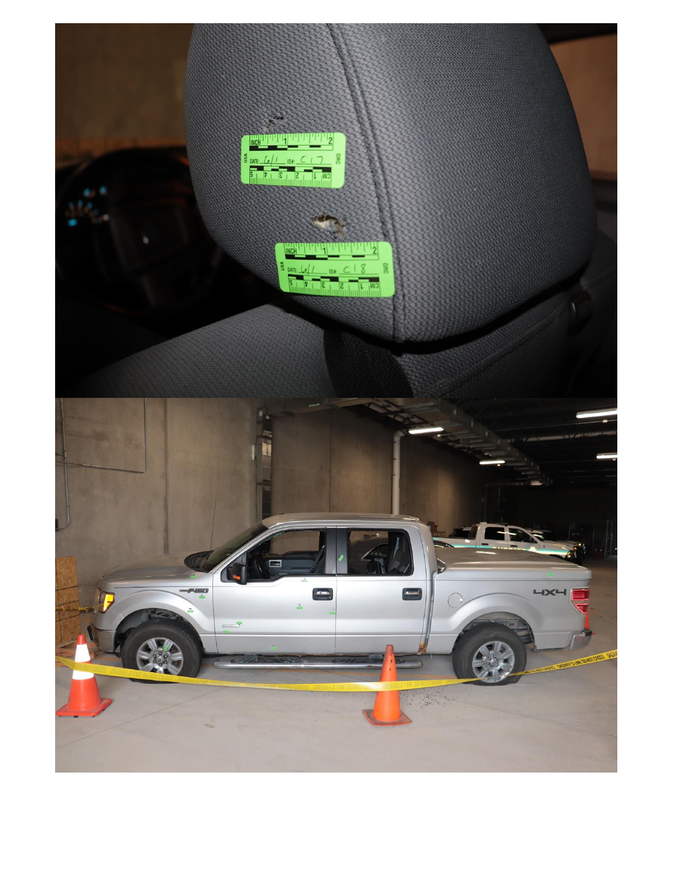